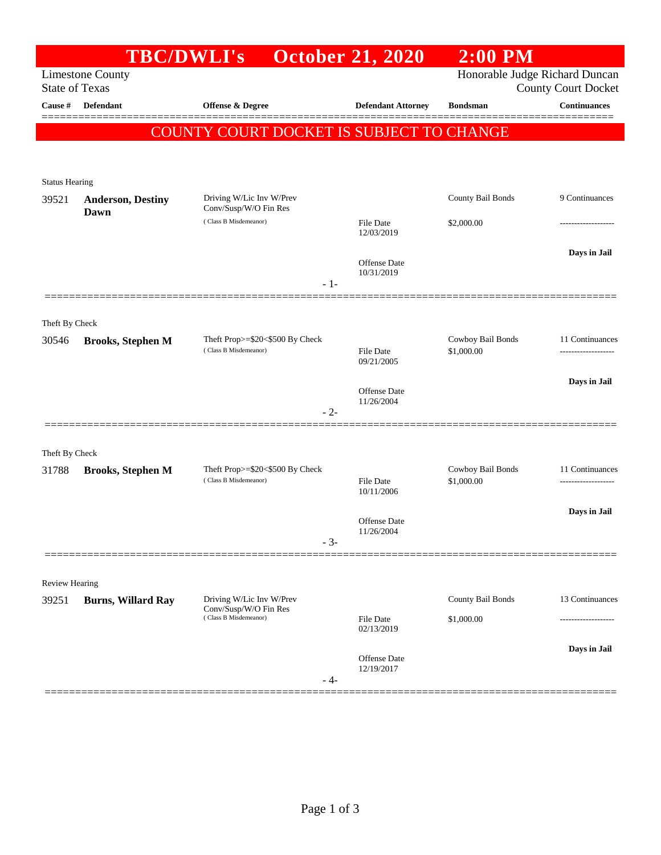|                       | <b>TBC/DWLI's</b>                |                                                              | <b>October 21, 2020</b>           | $2:00$ PM                       |                                        |
|-----------------------|----------------------------------|--------------------------------------------------------------|-----------------------------------|---------------------------------|----------------------------------------|
| <b>State of Texas</b> | <b>Limestone County</b>          | Honorable Judge Richard Duncan<br><b>County Court Docket</b> |                                   |                                 |                                        |
| Cause #               | <b>Defendant</b>                 | <b>Offense &amp; Degree</b>                                  | <b>Defendant Attorney</b>         | <b>Bondsman</b>                 | <b>Continuances</b>                    |
|                       |                                  | <b>COUNTY COURT DOCKET IS SUBJECT TO CHANGE</b>              |                                   |                                 |                                        |
|                       |                                  |                                                              |                                   |                                 |                                        |
| <b>Status Hearing</b> |                                  |                                                              |                                   |                                 |                                        |
| 39521                 | <b>Anderson, Destiny</b><br>Dawn | Driving W/Lic Inv W/Prev<br>Conv/Susp/W/O Fin Res            |                                   | County Bail Bonds               | 9 Continuances                         |
|                       |                                  | (Class B Misdemeanor)                                        | <b>File Date</b><br>12/03/2019    | \$2,000.00                      |                                        |
|                       |                                  | $-1-$                                                        | Offense Date<br>10/31/2019        |                                 | Days in Jail                           |
|                       |                                  |                                                              |                                   |                                 |                                        |
| Theft By Check        |                                  |                                                              |                                   |                                 |                                        |
| 30546                 | <b>Brooks, Stephen M</b>         | Theft Prop>=\$20<\$500 By Check<br>(Class B Misdemeanor)     | <b>File Date</b><br>09/21/2005    | Cowboy Bail Bonds<br>\$1,000.00 | 11 Continuances<br>                    |
|                       |                                  |                                                              |                                   |                                 | Days in Jail                           |
|                       |                                  | $-2-$                                                        | <b>Offense</b> Date<br>11/26/2004 |                                 |                                        |
|                       |                                  |                                                              |                                   |                                 |                                        |
| Theft By Check        |                                  |                                                              |                                   |                                 |                                        |
| 31788                 | <b>Brooks, Stephen M</b>         | Theft Prop>=\$20<\$500 By Check<br>(Class B Misdemeanor)     | File Date                         | Cowboy Bail Bonds<br>\$1,000.00 | 11 Continuances<br>------------------- |
|                       |                                  |                                                              | 10/11/2006                        |                                 |                                        |
|                       |                                  | $-3-$                                                        | Offense Date<br>11/26/2004        |                                 | Days in Jail                           |
|                       |                                  |                                                              |                                   |                                 |                                        |
| <b>Review Hearing</b> |                                  |                                                              |                                   |                                 |                                        |
| 39251                 | <b>Burns, Willard Ray</b>        | Driving W/Lic Inv W/Prev<br>Conv/Susp/W/O Fin Res            |                                   | County Bail Bonds               | 13 Continuances                        |
|                       |                                  | (Class B Misdemeanor)                                        | <b>File Date</b><br>02/13/2019    | \$1,000.00                      |                                        |
|                       |                                  | $-4-$                                                        | Offense Date<br>12/19/2017        |                                 | Days in Jail                           |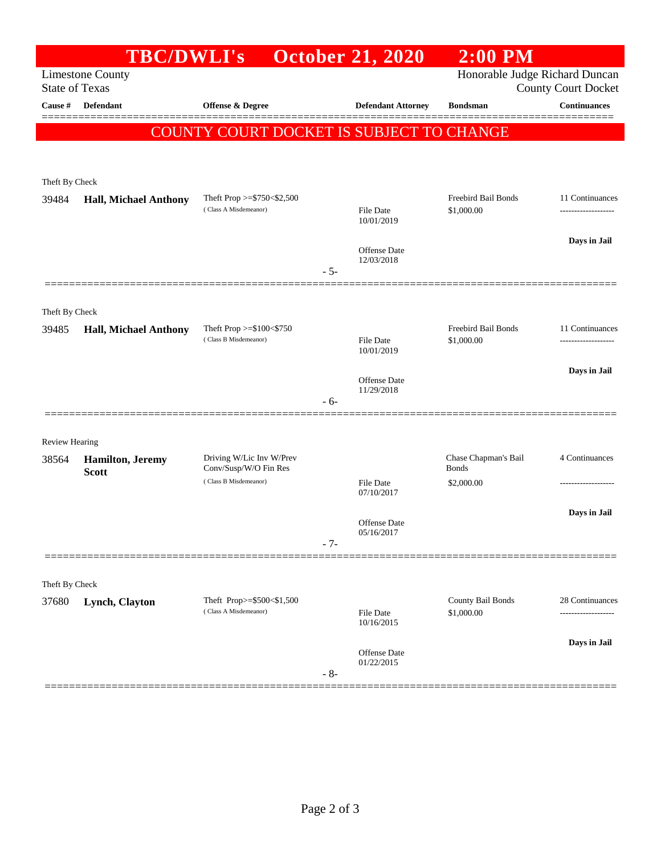|                                                                                    | <b>TBC/DWLI's</b>                        |                                                          | <b>October 21, 2020</b>           | $2:00$ PM            |                                                   |  |  |  |  |
|------------------------------------------------------------------------------------|------------------------------------------|----------------------------------------------------------|-----------------------------------|----------------------|---------------------------------------------------|--|--|--|--|
| Honorable Judge Richard Duncan<br><b>Limestone County</b><br><b>State of Texas</b> |                                          |                                                          |                                   |                      |                                                   |  |  |  |  |
| Cause #                                                                            | <b>Defendant</b>                         | <b>Offense &amp; Degree</b>                              | <b>Defendant Attorney</b>         | <b>Bondsman</b>      | <b>County Court Docket</b><br><b>Continuances</b> |  |  |  |  |
|                                                                                    |                                          |                                                          |                                   |                      |                                                   |  |  |  |  |
|                                                                                    | COUNTY COURT DOCKET IS SUBJECT TO CHANGE |                                                          |                                   |                      |                                                   |  |  |  |  |
|                                                                                    |                                          |                                                          |                                   |                      |                                                   |  |  |  |  |
| Theft By Check                                                                     |                                          |                                                          |                                   |                      |                                                   |  |  |  |  |
| 39484                                                                              | <b>Hall, Michael Anthony</b>             | Theft Prop $>=$ \$750 < \$2,500<br>(Class A Misdemeanor) |                                   | Freebird Bail Bonds  | 11 Continuances                                   |  |  |  |  |
|                                                                                    |                                          |                                                          | <b>File Date</b><br>10/01/2019    | \$1,000.00           |                                                   |  |  |  |  |
|                                                                                    |                                          |                                                          | Offense Date                      |                      | Days in Jail                                      |  |  |  |  |
|                                                                                    |                                          |                                                          | 12/03/2018                        |                      |                                                   |  |  |  |  |
|                                                                                    |                                          |                                                          | $-5-$                             |                      |                                                   |  |  |  |  |
| Theft By Check                                                                     |                                          |                                                          |                                   |                      |                                                   |  |  |  |  |
| 39485                                                                              | <b>Hall, Michael Anthony</b>             | Theft Prop $>=$ \$100 $<$ \$750                          |                                   | Freebird Bail Bonds  | 11 Continuances                                   |  |  |  |  |
|                                                                                    |                                          | (Class B Misdemeanor)                                    | <b>File Date</b><br>10/01/2019    | \$1,000.00           | ----------------                                  |  |  |  |  |
|                                                                                    |                                          |                                                          |                                   |                      | Days in Jail                                      |  |  |  |  |
|                                                                                    |                                          |                                                          | Offense Date<br>11/29/2018        |                      |                                                   |  |  |  |  |
|                                                                                    |                                          |                                                          | $-6-$                             |                      |                                                   |  |  |  |  |
|                                                                                    |                                          |                                                          |                                   |                      |                                                   |  |  |  |  |
| <b>Review Hearing</b>                                                              |                                          | Driving W/Lic Inv W/Prev                                 |                                   | Chase Chapman's Bail | 4 Continuances                                    |  |  |  |  |
| 38564                                                                              | <b>Hamilton</b> , Jeremy<br><b>Scott</b> | Conv/Susp/W/O Fin Res                                    |                                   | <b>Bonds</b>         |                                                   |  |  |  |  |
|                                                                                    |                                          | (Class B Misdemeanor)                                    | <b>File Date</b><br>07/10/2017    | \$2,000.00           |                                                   |  |  |  |  |
|                                                                                    |                                          |                                                          |                                   |                      | Days in Jail                                      |  |  |  |  |
|                                                                                    |                                          |                                                          | <b>Offense</b> Date<br>05/16/2017 |                      |                                                   |  |  |  |  |
|                                                                                    |                                          |                                                          | $-7-$                             |                      |                                                   |  |  |  |  |
|                                                                                    |                                          |                                                          |                                   |                      |                                                   |  |  |  |  |
| Theft By Check<br>37680                                                            | Lynch, Clayton                           | Theft Prop>=\$500<\$1,500                                |                                   | County Bail Bonds    | 28 Continuances                                   |  |  |  |  |
|                                                                                    |                                          | (Class A Misdemeanor)                                    | <b>File Date</b><br>10/16/2015    | \$1,000.00           |                                                   |  |  |  |  |
|                                                                                    |                                          |                                                          |                                   |                      | Days in Jail                                      |  |  |  |  |
|                                                                                    |                                          |                                                          | Offense Date<br>01/22/2015        |                      |                                                   |  |  |  |  |
|                                                                                    |                                          |                                                          | $-8-$                             |                      |                                                   |  |  |  |  |
|                                                                                    |                                          |                                                          |                                   |                      |                                                   |  |  |  |  |